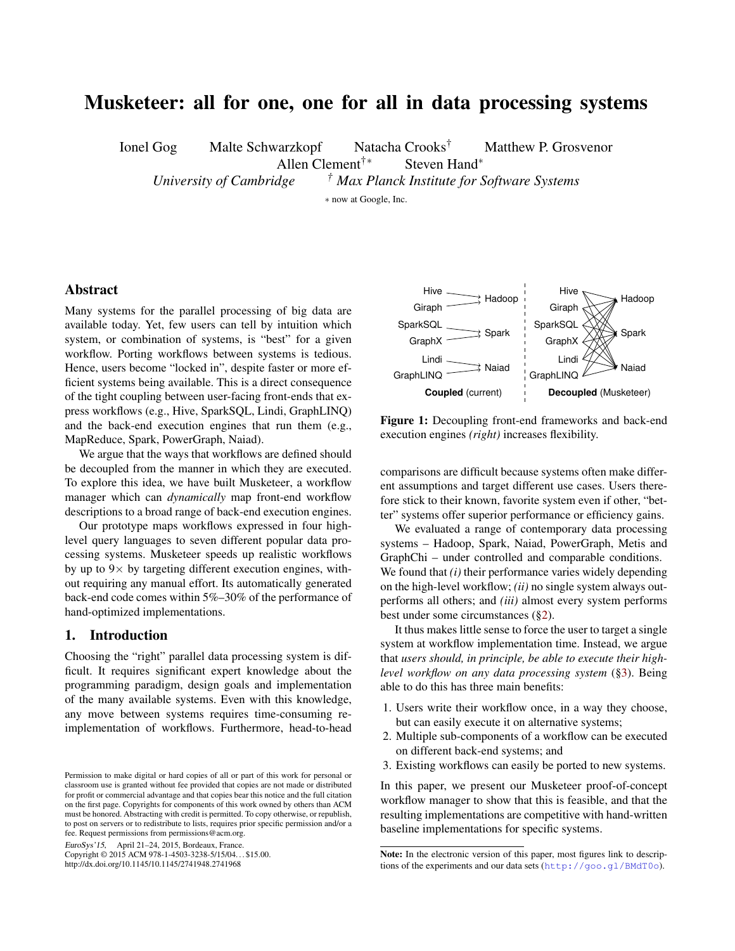# Musketeer: all for one, one for all in data processing systems

Ionel Gog Malte Schwarzkopf Natacha Crooks† Matthew P. Grosvenor

Allen Clement†<sup>∗</sup> Steven Hand<sup>∗</sup>

*University of Cambridge † Max Planck Institute for Software Systems*

∗ now at Google, Inc.

# Abstract

Many systems for the parallel processing of big data are available today. Yet, few users can tell by intuition which system, or combination of systems, is "best" for a given workflow. Porting workflows between systems is tedious. Hence, users become "locked in", despite faster or more efficient systems being available. This is a direct consequence of the tight coupling between user-facing front-ends that express workflows (e.g., Hive, SparkSQL, Lindi, GraphLINQ) and the back-end execution engines that run them (e.g., MapReduce, Spark, PowerGraph, Naiad).

We argue that the ways that workflows are defined should be decoupled from the manner in which they are executed. To explore this idea, we have built Musketeer, a workflow manager which can *dynamically* map front-end workflow descriptions to a broad range of back-end execution engines.

Our prototype maps workflows expressed in four highlevel query languages to seven different popular data processing systems. Musketeer speeds up realistic workflows by up to  $9\times$  by targeting different execution engines, without requiring any manual effort. Its automatically generated back-end code comes within 5%–30% of the performance of hand-optimized implementations.

## 1. Introduction

Choosing the "right" parallel data processing system is difficult. It requires significant expert knowledge about the programming paradigm, design goals and implementation of the many available systems. Even with this knowledge, any move between systems requires time-consuming reimplementation of workflows. Furthermore, head-to-head

EuroSys'15, April 21–24, 2015, Bordeaux, France.

Copyright © 2015 ACM 978-1-4503-3238-5/15/04. . . \$15.00. http://dx.doi.org/10.1145/10.1145/2741948.2741968

<span id="page-0-0"></span>

Figure 1: Decoupling front-end frameworks and back-end execution engines *(right)* increases flexibility.

comparisons are difficult because systems often make different assumptions and target different use cases. Users therefore stick to their known, favorite system even if other, "better" systems offer superior performance or efficiency gains.

We evaluated a range of contemporary data processing systems – Hadoop, Spark, Naiad, PowerGraph, Metis and GraphChi – under controlled and comparable conditions. We found that *(i)* their performance varies widely depending on the high-level workflow; *(ii)* no single system always outperforms all others; and *(iii)* almost every system performs best under some circumstances ([§2\)](#page-1-0).

It thus makes little sense to force the user to target a single system at workflow implementation time. Instead, we argue that *users should, in principle, be able to execute their highlevel workflow on any data processing system* ([§3\)](#page-3-0). Being able to do this has three main benefits:

- 1. Users write their workflow once, in a way they choose, but can easily execute it on alternative systems;
- 2. Multiple sub-components of a workflow can be executed on different back-end systems; and
- 3. Existing workflows can easily be ported to new systems.

In this paper, we present our Musketeer proof-of-concept workflow manager to show that this is feasible, and that the resulting implementations are competitive with hand-written baseline implementations for specific systems.

Permission to make digital or hard copies of all or part of this work for personal or classroom use is granted without fee provided that copies are not made or distributed for profit or commercial advantage and that copies bear this notice and the full citation on the first page. Copyrights for components of this work owned by others than ACM must be honored. Abstracting with credit is permitted. To copy otherwise, or republish, to post on servers or to redistribute to lists, requires prior specific permission and/or a fee. Request permissions from permissions@acm.org.

Note: In the electronic version of this paper, most figures link to descriptions of the experiments and our data sets (<http://goo.gl/BMdT0o>).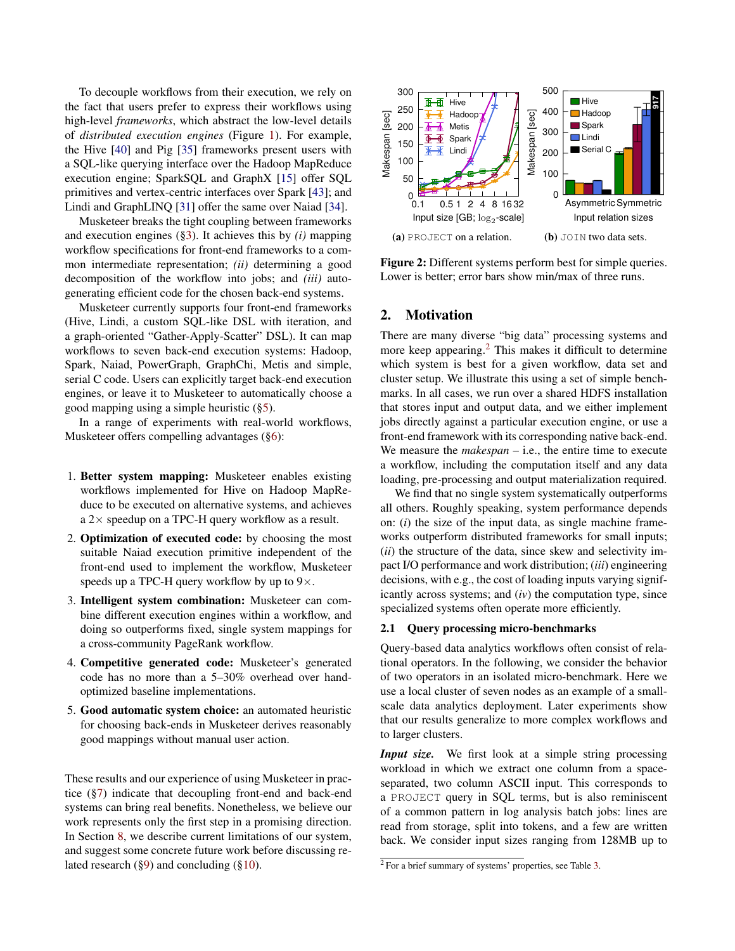To decouple workflows from their execution, we rely on the fact that users prefer to express their workflows using high-level *frameworks*, which abstract the low-level details of *distributed execution engines* (Figure [1\)](#page-0-0). For example, the Hive [\[40\]](#page-15-0) and Pig [\[35\]](#page-15-1) frameworks present users with a SQL-like querying interface over the Hadoop MapReduce execution engine; SparkSQL and GraphX [\[15\]](#page-14-0) offer SQL primitives and vertex-centric interfaces over Spark [\[43\]](#page-15-2); and Lindi and GraphLINQ [\[31\]](#page-14-1) offer the same over Naiad [\[34\]](#page-15-3).

Musketeer breaks the tight coupling between frameworks and execution engines ([§3\)](#page-3-0). It achieves this by *(i)* mapping workflow specifications for front-end frameworks to a common intermediate representation; *(ii)* determining a good decomposition of the workflow into jobs; and *(iii)* autogenerating efficient code for the chosen back-end systems.

Musketeer currently supports four front-end frameworks (Hive, Lindi, a custom SQL-like DSL with iteration, and a graph-oriented "Gather-Apply-Scatter" DSL). It can map workflows to seven back-end execution systems: Hadoop, Spark, Naiad, PowerGraph, GraphChi, Metis and simple, serial C code. Users can explicitly target back-end execution engines, or leave it to Musketeer to automatically choose a good mapping using a simple heuristic ([§5\)](#page-6-0).

In a range of experiments with real-world workflows, Musketeer offers compelling advantages ([§6\)](#page-8-0):

- 1. Better system mapping: Musketeer enables existing workflows implemented for Hive on Hadoop MapReduce to be executed on alternative systems, and achieves a  $2\times$  speedup on a TPC-H query workflow as a result.
- 2. Optimization of executed code: by choosing the most suitable Naiad execution primitive independent of the front-end used to implement the workflow, Musketeer speeds up a TPC-H query workflow by up to  $9 \times$ .
- 3. Intelligent system combination: Musketeer can combine different execution engines within a workflow, and doing so outperforms fixed, single system mappings for a cross-community PageRank workflow.
- 4. Competitive generated code: Musketeer's generated code has no more than a 5–30% overhead over handoptimized baseline implementations.
- 5. Good automatic system choice: an automated heuristic for choosing back-ends in Musketeer derives reasonably good mappings without manual user action.

These results and our experience of using Musketeer in practice ([§7\)](#page-12-0) indicate that decoupling front-end and back-end systems can bring real benefits. Nonetheless, we believe our work represents only the first step in a promising direction. In Section [8,](#page-12-1) we describe current limitations of our system, and suggest some concrete future work before discussing related research ([§9\)](#page-13-0) and concluding ([§10\)](#page-13-1).

<span id="page-1-2"></span>

Figure 2: Different systems perform best for simple queries. Lower is better; error bars show min/max of three runs.

## <span id="page-1-0"></span>2. Motivation

There are many diverse "big data" processing systems and more keep appearing.[2](#page-1-1) This makes it difficult to determine which system is best for a given workflow, data set and cluster setup. We illustrate this using a set of simple benchmarks. In all cases, we run over a shared HDFS installation that stores input and output data, and we either implement jobs directly against a particular execution engine, or use a front-end framework with its corresponding native back-end. We measure the *makespan* – i.e., the entire time to execute a workflow, including the computation itself and any data loading, pre-processing and output materialization required.

We find that no single system systematically outperforms all others. Roughly speaking, system performance depends on: (*i*) the size of the input data, as single machine frameworks outperform distributed frameworks for small inputs; (*ii*) the structure of the data, since skew and selectivity impact I/O performance and work distribution; (*iii*) engineering decisions, with e.g., the cost of loading inputs varying significantly across systems; and (*iv*) the computation type, since specialized systems often operate more efficiently.

## <span id="page-1-3"></span>2.1 Query processing micro-benchmarks

Query-based data analytics workflows often consist of relational operators. In the following, we consider the behavior of two operators in an isolated micro-benchmark. Here we use a local cluster of seven nodes as an example of a smallscale data analytics deployment. Later experiments show that our results generalize to more complex workflows and to larger clusters.

*Input size.* We first look at a simple string processing workload in which we extract one column from a spaceseparated, two column ASCII input. This corresponds to a PROJECT query in SQL terms, but is also reminiscent of a common pattern in log analysis batch jobs: lines are read from storage, split into tokens, and a few are written back. We consider input sizes ranging from 128MB up to

<span id="page-1-1"></span><sup>2</sup> For a brief summary of systems' properties, see Table [3.](#page-13-2)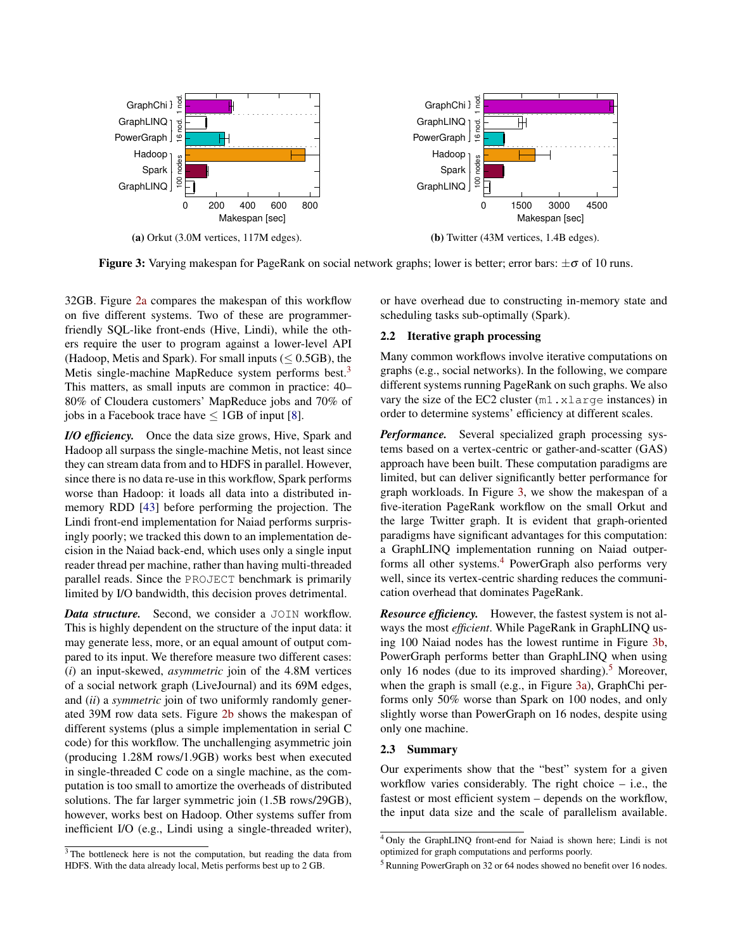<span id="page-2-1"></span>

Figure 3: Varying makespan for PageRank on social network graphs; lower is better; error bars:  $\pm \sigma$  of 10 runs.

32GB. Figure [2a](#page-1-2) compares the makespan of this workflow on five different systems. Two of these are programmerfriendly SQL-like front-ends (Hive, Lindi), while the others require the user to program against a lower-level API (Hadoop, Metis and Spark). For small inputs  $(< 0.5GB$ ), the Metis single-machine MapReduce system performs best.<sup>[3](#page-2-0)</sup> This matters, as small inputs are common in practice: 40– 80% of Cloudera customers' MapReduce jobs and 70% of jobs in a Facebook trace have  $\leq 1GB$  of input [\[8\]](#page-14-2).

*I/O efficiency.* Once the data size grows, Hive, Spark and Hadoop all surpass the single-machine Metis, not least since they can stream data from and to HDFS in parallel. However, since there is no data re-use in this workflow, Spark performs worse than Hadoop: it loads all data into a distributed inmemory RDD [\[43\]](#page-15-2) before performing the projection. The Lindi front-end implementation for Naiad performs surprisingly poorly; we tracked this down to an implementation decision in the Naiad back-end, which uses only a single input reader thread per machine, rather than having multi-threaded parallel reads. Since the PROJECT benchmark is primarily limited by I/O bandwidth, this decision proves detrimental.

*Data structure.* Second, we consider a JOIN workflow. This is highly dependent on the structure of the input data: it may generate less, more, or an equal amount of output compared to its input. We therefore measure two different cases: (*i*) an input-skewed, *asymmetric* join of the 4.8M vertices of a social network graph (LiveJournal) and its 69M edges, and (*ii*) a *symmetric* join of two uniformly randomly generated 39M row data sets. Figure [2b](#page-1-2) shows the makespan of different systems (plus a simple implementation in serial C code) for this workflow. The unchallenging asymmetric join (producing 1.28M rows/1.9GB) works best when executed in single-threaded C code on a single machine, as the computation is too small to amortize the overheads of distributed solutions. The far larger symmetric join (1.5B rows/29GB), however, works best on Hadoop. Other systems suffer from inefficient I/O (e.g., Lindi using a single-threaded writer),

<span id="page-2-0"></span> $3$ The bottleneck here is not the computation, but reading the data from HDFS. With the data already local, Metis performs best up to 2 GB.

or have overhead due to constructing in-memory state and scheduling tasks sub-optimally (Spark).

## 2.2 Iterative graph processing

Many common workflows involve iterative computations on graphs (e.g., social networks). In the following, we compare different systems running PageRank on such graphs. We also vary the size of the EC2 cluster (m1.xlarge instances) in order to determine systems' efficiency at different scales.

*Performance.* Several specialized graph processing systems based on a vertex-centric or gather-and-scatter (GAS) approach have been built. These computation paradigms are limited, but can deliver significantly better performance for graph workloads. In Figure [3,](#page-2-1) we show the makespan of a five-iteration PageRank workflow on the small Orkut and the large Twitter graph. It is evident that graph-oriented paradigms have significant advantages for this computation: a GraphLINQ implementation running on Naiad outper-forms all other systems.<sup>[4](#page-2-2)</sup> PowerGraph also performs very well, since its vertex-centric sharding reduces the communication overhead that dominates PageRank.

*Resource efficiency.* However, the fastest system is not always the most *efficient*. While PageRank in GraphLINQ using 100 Naiad nodes has the lowest runtime in Figure [3b,](#page-2-1) PowerGraph performs better than GraphLINQ when using only 16 nodes (due to its improved sharding). $5$  Moreover, when the graph is small (e.g., in Figure [3a\)](#page-2-1), GraphChi performs only 50% worse than Spark on 100 nodes, and only slightly worse than PowerGraph on 16 nodes, despite using only one machine.

#### 2.3 Summary

Our experiments show that the "best" system for a given workflow varies considerably. The right choice – i.e., the fastest or most efficient system – depends on the workflow, the input data size and the scale of parallelism available.

<span id="page-2-2"></span><sup>&</sup>lt;sup>4</sup>Only the GraphLINQ front-end for Naiad is shown here; Lindi is not optimized for graph computations and performs poorly.

<span id="page-2-3"></span><sup>5</sup> Running PowerGraph on 32 or 64 nodes showed no benefit over 16 nodes.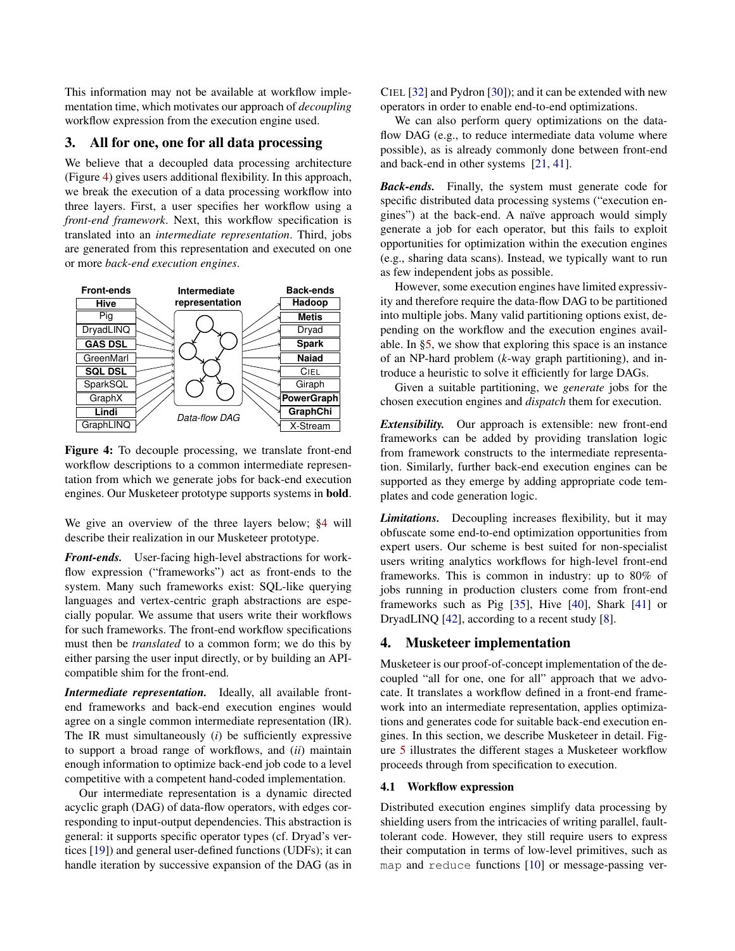This information may not be available at workflow implementation time, which motivates our approach of *decoupling* workflow expression from the execution engine used.

## <span id="page-3-0"></span>3. All for one, one for all data processing

We believe that a decoupled data processing architecture (Figure [4\)](#page-3-1) gives users additional flexibility. In this approach, we break the execution of a data processing workflow into three layers. First, a user specifies her workflow using a *front-end framework*. Next, this workflow specification is translated into an *intermediate representation*. Third, jobs are generated from this representation and executed on one or more *back-end execution engines*.

<span id="page-3-1"></span>

Figure 4: To decouple processing, we translate front-end workflow descriptions to a common intermediate representation from which we generate jobs for back-end execution engines. Our Musketeer prototype supports systems in bold.

We give an overview of the three layers below; [§4](#page-3-2) will describe their realization in our Musketeer prototype.

*Front-ends.* User-facing high-level abstractions for workflow expression ("frameworks") act as front-ends to the system. Many such frameworks exist: SQL-like querying languages and vertex-centric graph abstractions are especially popular. We assume that users write their workflows for such frameworks. The front-end workflow specifications must then be *translated* to a common form; we do this by either parsing the user input directly, or by building an APIcompatible shim for the front-end.

*Intermediate representation.* Ideally, all available frontend frameworks and back-end execution engines would agree on a single common intermediate representation (IR). The IR must simultaneously (*i*) be sufficiently expressive to support a broad range of workflows, and (*ii*) maintain enough information to optimize back-end job code to a level competitive with a competent hand-coded implementation.

Our intermediate representation is a dynamic directed acyclic graph (DAG) of data-flow operators, with edges corresponding to input-output dependencies. This abstraction is general: it supports specific operator types (cf. Dryad's vertices [\[19\]](#page-14-3)) and general user-defined functions (UDFs); it can handle iteration by successive expansion of the DAG (as in

CIEL [\[32\]](#page-14-4) and Pydron [\[30\]](#page-14-5)); and it can be extended with new operators in order to enable end-to-end optimizations.

We can also perform query optimizations on the dataflow DAG (e.g., to reduce intermediate data volume where possible), as is already commonly done between front-end and back-end in other systems [\[21,](#page-14-6) [41\]](#page-15-4).

*Back-ends.* Finally, the system must generate code for specific distributed data processing systems ("execution engines") at the back-end. A naïve approach would simply generate a job for each operator, but this fails to exploit opportunities for optimization within the execution engines (e.g., sharing data scans). Instead, we typically want to run as few independent jobs as possible.

However, some execution engines have limited expressivity and therefore require the data-flow DAG to be partitioned into multiple jobs. Many valid partitioning options exist, depending on the workflow and the execution engines available. In [§5,](#page-6-0) we show that exploring this space is an instance of an NP-hard problem (*k*-way graph partitioning), and introduce a heuristic to solve it efficiently for large DAGs.

Given a suitable partitioning, we *generate* jobs for the chosen execution engines and *dispatch* them for execution.

*Extensibility.* Our approach is extensible: new front-end frameworks can be added by providing translation logic from framework constructs to the intermediate representation. Similarly, further back-end execution engines can be supported as they emerge by adding appropriate code templates and code generation logic.

*Limitations.* Decoupling increases flexibility, but it may obfuscate some end-to-end optimization opportunities from expert users. Our scheme is best suited for non-specialist users writing analytics workflows for high-level front-end frameworks. This is common in industry: up to 80% of jobs running in production clusters come from front-end frameworks such as Pig [\[35\]](#page-15-1), Hive [\[40\]](#page-15-0), Shark [\[41\]](#page-15-4) or DryadLINQ [\[42\]](#page-15-5), according to a recent study [\[8\]](#page-14-2).

## <span id="page-3-2"></span>4. Musketeer implementation

Musketeer is our proof-of-concept implementation of the decoupled "all for one, one for all" approach that we advocate. It translates a workflow defined in a front-end framework into an intermediate representation, applies optimizations and generates code for suitable back-end execution engines. In this section, we describe Musketeer in detail. Figure [5](#page-5-0) illustrates the different stages a Musketeer workflow proceeds through from specification to execution.

## <span id="page-3-3"></span>4.1 Workflow expression

Distributed execution engines simplify data processing by shielding users from the intricacies of writing parallel, faulttolerant code. However, they still require users to express their computation in terms of low-level primitives, such as map and reduce functions [\[10\]](#page-14-7) or message-passing ver-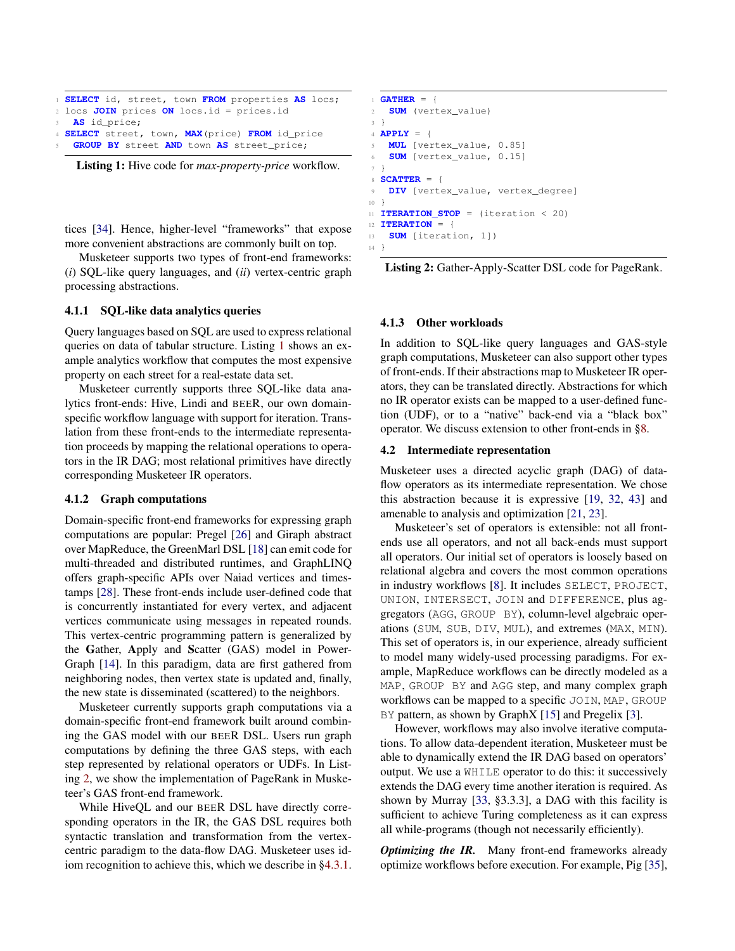```
1 SELECT id, street, town FROM properties AS locs;
2 locs JOIN prices ON locs.id = prices.id
   3 AS id_price;
4 SELECT street, town, MAX(price) FROM id_price
   5 GROUP BY street AND town AS street_price;
```


tices [\[34\]](#page-15-3). Hence, higher-level "frameworks" that expose more convenient abstractions are commonly built on top.

Musketeer supports two types of front-end frameworks: (*i*) SQL-like query languages, and (*ii*) vertex-centric graph processing abstractions.

#### <span id="page-4-3"></span>4.1.1 SQL-like data analytics queries

Query languages based on SQL are used to express relational queries on data of tabular structure. Listing [1](#page-4-0) shows an example analytics workflow that computes the most expensive property on each street for a real-estate data set.

Musketeer currently supports three SQL-like data analytics front-ends: Hive, Lindi and BEER, our own domainspecific workflow language with support for iteration. Translation from these front-ends to the intermediate representation proceeds by mapping the relational operations to operators in the IR DAG; most relational primitives have directly corresponding Musketeer IR operators.

#### <span id="page-4-4"></span>4.1.2 Graph computations

Domain-specific front-end frameworks for expressing graph computations are popular: Pregel [\[26\]](#page-14-8) and Giraph abstract over MapReduce, the GreenMarl DSL [\[18\]](#page-14-9) can emit code for multi-threaded and distributed runtimes, and GraphLINQ offers graph-specific APIs over Naiad vertices and timestamps [\[28\]](#page-14-10). These front-ends include user-defined code that is concurrently instantiated for every vertex, and adjacent vertices communicate using messages in repeated rounds. This vertex-centric programming pattern is generalized by the Gather, Apply and Scatter (GAS) model in Power-Graph [\[14\]](#page-14-11). In this paradigm, data are first gathered from neighboring nodes, then vertex state is updated and, finally, the new state is disseminated (scattered) to the neighbors.

Musketeer currently supports graph computations via a domain-specific front-end framework built around combining the GAS model with our BEER DSL. Users run graph computations by defining the three GAS steps, with each step represented by relational operators or UDFs. In Listing [2,](#page-4-1) we show the implementation of PageRank in Musketeer's GAS front-end framework.

While HiveQL and our BEER DSL have directly corresponding operators in the IR, the GAS DSL requires both syntactic translation and transformation from the vertexcentric paradigm to the data-flow DAG. Musketeer uses idiom recognition to achieve this, which we describe in [§4.3.1.](#page-5-1)

```
GATHER = {2 SUM (vertex_value)
3 }
4 APPLY = {
5 MUL [vertex_value, 0.85]
6 SUM [vertex_value, 0.15]
7 }
8 SCATTER = {
9 DIV [vertex_value, vertex_degree]
10 }
11 ITERATION_STOP = (iteration < 20)
12 ITERATION = {
13 SUM [iteration, 1])
14 }
```
Listing 2: Gather-Apply-Scatter DSL code for PageRank.

#### 4.1.3 Other workloads

In addition to SQL-like query languages and GAS-style graph computations, Musketeer can also support other types of front-ends. If their abstractions map to Musketeer IR operators, they can be translated directly. Abstractions for which no IR operator exists can be mapped to a user-defined function (UDF), or to a "native" back-end via a "black box" operator. We discuss extension to other front-ends in [§8.](#page-12-1)

#### <span id="page-4-2"></span>4.2 Intermediate representation

Musketeer uses a directed acyclic graph (DAG) of dataflow operators as its intermediate representation. We chose this abstraction because it is expressive [\[19,](#page-14-3) [32,](#page-14-4) [43\]](#page-15-2) and amenable to analysis and optimization [\[21,](#page-14-6) [23\]](#page-14-12).

Musketeer's set of operators is extensible: not all frontends use all operators, and not all back-ends must support all operators. Our initial set of operators is loosely based on relational algebra and covers the most common operations in industry workflows [\[8\]](#page-14-2). It includes SELECT, PROJECT, UNION, INTERSECT, JOIN and DIFFERENCE, plus aggregators (AGG, GROUP BY), column-level algebraic operations (SUM, SUB, DIV, MUL), and extremes (MAX, MIN). This set of operators is, in our experience, already sufficient to model many widely-used processing paradigms. For example, MapReduce workflows can be directly modeled as a MAP, GROUP BY and AGG step, and many complex graph workflows can be mapped to a specific JOIN, MAP, GROUP BY pattern, as shown by GraphX [\[15\]](#page-14-0) and Pregelix [\[3\]](#page-14-13).

However, workflows may also involve iterative computations. To allow data-dependent iteration, Musketeer must be able to dynamically extend the IR DAG based on operators' output. We use a WHILE operator to do this: it successively extends the DAG every time another iteration is required. As shown by Murray [\[33,](#page-15-6) §3.3.3], a DAG with this facility is sufficient to achieve Turing completeness as it can express all while-programs (though not necessarily efficiently).

*Optimizing the IR.* Many front-end frameworks already optimize workflows before execution. For example, Pig [\[35\]](#page-15-1),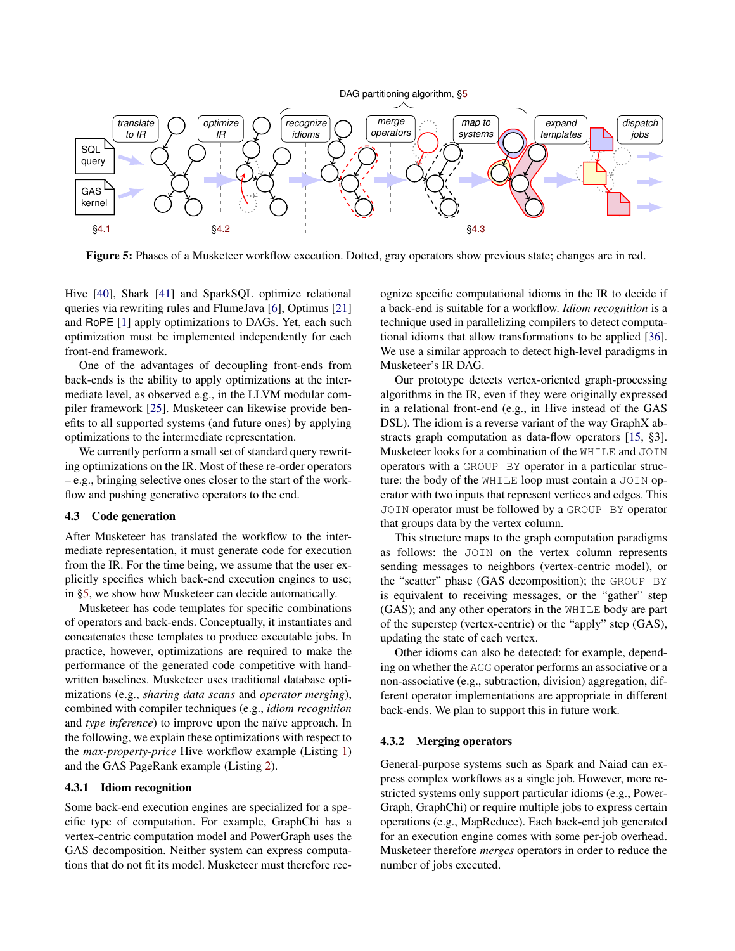DAG partitioning algorithm, [§5](#page-6-0)

<span id="page-5-0"></span>

Figure 5: Phases of a Musketeer workflow execution. Dotted, gray operators show previous state; changes are in red.

Hive [\[40\]](#page-15-0), Shark [\[41\]](#page-15-4) and SparkSQL optimize relational queries via rewriting rules and FlumeJava [\[6\]](#page-14-14), Optimus [\[21\]](#page-14-6) and RoPE [\[1\]](#page-14-15) apply optimizations to DAGs. Yet, each such optimization must be implemented independently for each front-end framework.

One of the advantages of decoupling front-ends from back-ends is the ability to apply optimizations at the intermediate level, as observed e.g., in the LLVM modular compiler framework [\[25\]](#page-14-16). Musketeer can likewise provide benefits to all supported systems (and future ones) by applying optimizations to the intermediate representation.

We currently perform a small set of standard query rewriting optimizations on the IR. Most of these re-order operators – e.g., bringing selective ones closer to the start of the workflow and pushing generative operators to the end.

## <span id="page-5-2"></span>4.3 Code generation

After Musketeer has translated the workflow to the intermediate representation, it must generate code for execution from the IR. For the time being, we assume that the user explicitly specifies which back-end execution engines to use; in [§5,](#page-6-0) we show how Musketeer can decide automatically.

Musketeer has code templates for specific combinations of operators and back-ends. Conceptually, it instantiates and concatenates these templates to produce executable jobs. In practice, however, optimizations are required to make the performance of the generated code competitive with handwritten baselines. Musketeer uses traditional database optimizations (e.g., *sharing data scans* and *operator merging*), combined with compiler techniques (e.g., *idiom recognition* and *type inference*) to improve upon the naïve approach. In the following, we explain these optimizations with respect to the *max-property-price* Hive workflow example (Listing [1\)](#page-4-0) and the GAS PageRank example (Listing [2\)](#page-4-1).

#### <span id="page-5-1"></span>4.3.1 Idiom recognition

Some back-end execution engines are specialized for a specific type of computation. For example, GraphChi has a vertex-centric computation model and PowerGraph uses the GAS decomposition. Neither system can express computations that do not fit its model. Musketeer must therefore rec-

ognize specific computational idioms in the IR to decide if a back-end is suitable for a workflow. *Idiom recognition* is a technique used in parallelizing compilers to detect computational idioms that allow transformations to be applied [\[36\]](#page-15-7). We use a similar approach to detect high-level paradigms in Musketeer's IR DAG.

Our prototype detects vertex-oriented graph-processing algorithms in the IR, even if they were originally expressed in a relational front-end (e.g., in Hive instead of the GAS DSL). The idiom is a reverse variant of the way GraphX abstracts graph computation as data-flow operators [\[15,](#page-14-0) §3]. Musketeer looks for a combination of the WHILE and JOIN operators with a GROUP BY operator in a particular structure: the body of the WHILE loop must contain a JOIN operator with two inputs that represent vertices and edges. This JOIN operator must be followed by a GROUP BY operator that groups data by the vertex column.

This structure maps to the graph computation paradigms as follows: the JOIN on the vertex column represents sending messages to neighbors (vertex-centric model), or the "scatter" phase (GAS decomposition); the GROUP BY is equivalent to receiving messages, or the "gather" step (GAS); and any other operators in the WHILE body are part of the superstep (vertex-centric) or the "apply" step (GAS), updating the state of each vertex.

Other idioms can also be detected: for example, depending on whether the AGG operator performs an associative or a non-associative (e.g., subtraction, division) aggregation, different operator implementations are appropriate in different back-ends. We plan to support this in future work.

#### <span id="page-5-3"></span>4.3.2 Merging operators

General-purpose systems such as Spark and Naiad can express complex workflows as a single job. However, more restricted systems only support particular idioms (e.g., Power-Graph, GraphChi) or require multiple jobs to express certain operations (e.g., MapReduce). Each back-end job generated for an execution engine comes with some per-job overhead. Musketeer therefore *merges* operators in order to reduce the number of jobs executed.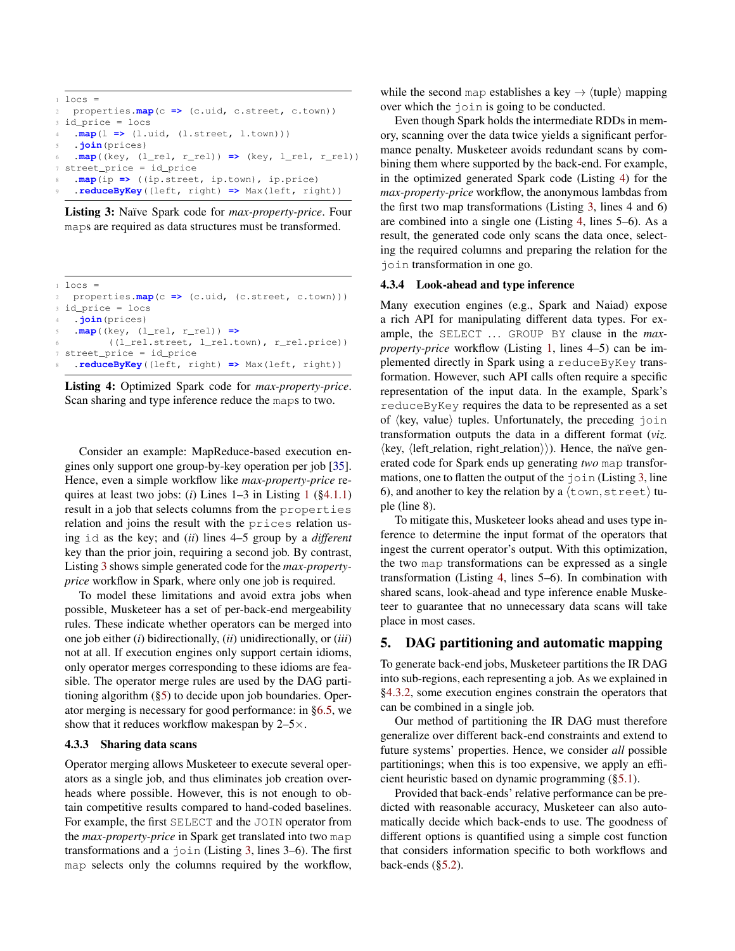```
1 \text{ } \cos =2 properties.map(c => (c.uid, c.street, c.town))
3 id_price = locs
   4 .map(l => (l.uid, (l.street, l.town)))
   .join(prices)
   6 .map((key, (l_rel, r_rel)) => (key, l_rel, r_rel))
 street_price = id_price
   8 .map(ip => ((ip.street, ip.town), ip.price)
   9 .reduceByKey((left, right) => Max(left, right))
```
Listing 3: Naïve Spark code for *max-property-price*. Four maps are required as data structures must be transformed.

<span id="page-6-2"></span>

| $1 \text{ loss}$ =                                      |  |  |  |  |  |  |  |
|---------------------------------------------------------|--|--|--|--|--|--|--|
| properties.map(c => (c.uid, (c.street, c.town)))        |  |  |  |  |  |  |  |
| d id_price = locs                                       |  |  |  |  |  |  |  |
| 4 .join(prices)                                         |  |  |  |  |  |  |  |
| 5 .map((key, (l_rel, r_rel)) =>                         |  |  |  |  |  |  |  |
| $((l_{rel}.street, l_{rel}.town), r_{rel}.price))$<br>6 |  |  |  |  |  |  |  |
| street_price = id_price                                 |  |  |  |  |  |  |  |
| s .reduceByKey((left, right) => Max(left, right))       |  |  |  |  |  |  |  |
|                                                         |  |  |  |  |  |  |  |

Listing 4: Optimized Spark code for *max-property-price*. Scan sharing and type inference reduce the maps to two.

Consider an example: MapReduce-based execution engines only support one group-by-key operation per job [\[35\]](#page-15-1). Hence, even a simple workflow like *max-property-price* requires at least two jobs: (*i*) Lines 1–3 in Listing [1](#page-4-0) ([§4.1.1\)](#page-4-3) result in a job that selects columns from the properties relation and joins the result with the prices relation using id as the key; and (*ii*) lines 4–5 group by a *different* key than the prior join, requiring a second job. By contrast, Listing [3](#page-6-1) shows simple generated code for the *max-propertyprice* workflow in Spark, where only one job is required.

To model these limitations and avoid extra jobs when possible, Musketeer has a set of per-back-end mergeability rules. These indicate whether operators can be merged into one job either (*i*) bidirectionally, (*ii*) unidirectionally, or (*iii*) not at all. If execution engines only support certain idioms, only operator merges corresponding to these idioms are feasible. The operator merge rules are used by the DAG partitioning algorithm ([§5\)](#page-6-0) to decide upon job boundaries. Operator merging is necessary for good performance: in [§6.5,](#page-11-0) we show that it reduces workflow makespan by  $2-5\times$ .

## 4.3.3 Sharing data scans

Operator merging allows Musketeer to execute several operators as a single job, and thus eliminates job creation overheads where possible. However, this is not enough to obtain competitive results compared to hand-coded baselines. For example, the first SELECT and the JOIN operator from the *max-property-price* in Spark get translated into two map transformations and a join (Listing [3,](#page-6-1) lines 3–6). The first map selects only the columns required by the workflow,

while the second map establishes a key  $\rightarrow \langle \text{tuple} \rangle$  mapping over which the join is going to be conducted.

Even though Spark holds the intermediate RDDs in memory, scanning over the data twice yields a significant performance penalty. Musketeer avoids redundant scans by combining them where supported by the back-end. For example, in the optimized generated Spark code (Listing [4\)](#page-6-2) for the *max-property-price* workflow, the anonymous lambdas from the first two map transformations (Listing [3,](#page-6-1) lines 4 and 6) are combined into a single one (Listing [4,](#page-6-2) lines 5–6). As a result, the generated code only scans the data once, selecting the required columns and preparing the relation for the join transformation in one go.

### 4.3.4 Look-ahead and type inference

Many execution engines (e.g., Spark and Naiad) expose a rich API for manipulating different data types. For example, the SELECT ... GROUP BY clause in the *maxproperty-price* workflow (Listing [1,](#page-4-0) lines 4–5) can be implemented directly in Spark using a reduceByKey transformation. However, such API calls often require a specific representation of the input data. In the example, Spark's reduceByKey requires the data to be represented as a set of  $\langle \text{key}, \text{value} \rangle$  tuples. Unfortunately, the preceding join transformation outputs the data in a different format (*viz.*  $\langle \text{key}, \langle \text{left\_relation}, \text{right\_relation} \rangle \rangle$ . Hence, the naïve generated code for Spark ends up generating *two* map transformations, one to flatten the output of the  $\overline{\text{1}}$  (Listing [3,](#page-6-1) line 6), and another to key the relation by a  $\langle$  town, street $\rangle$  tuple (line 8).

To mitigate this, Musketeer looks ahead and uses type inference to determine the input format of the operators that ingest the current operator's output. With this optimization, the two map transformations can be expressed as a single transformation (Listing [4,](#page-6-2) lines 5–6). In combination with shared scans, look-ahead and type inference enable Musketeer to guarantee that no unnecessary data scans will take place in most cases.

## <span id="page-6-0"></span>5. DAG partitioning and automatic mapping

To generate back-end jobs, Musketeer partitions the IR DAG into sub-regions, each representing a job. As we explained in [§4.3.2,](#page-5-3) some execution engines constrain the operators that can be combined in a single job.

Our method of partitioning the IR DAG must therefore generalize over different back-end constraints and extend to future systems' properties. Hence, we consider *all* possible partitionings; when this is too expensive, we apply an efficient heuristic based on dynamic programming ([§5.1\)](#page-7-0).

Provided that back-ends' relative performance can be predicted with reasonable accuracy, Musketeer can also automatically decide which back-ends to use. The goodness of different options is quantified using a simple cost function that considers information specific to both workflows and back-ends ([§5.2\)](#page-7-1).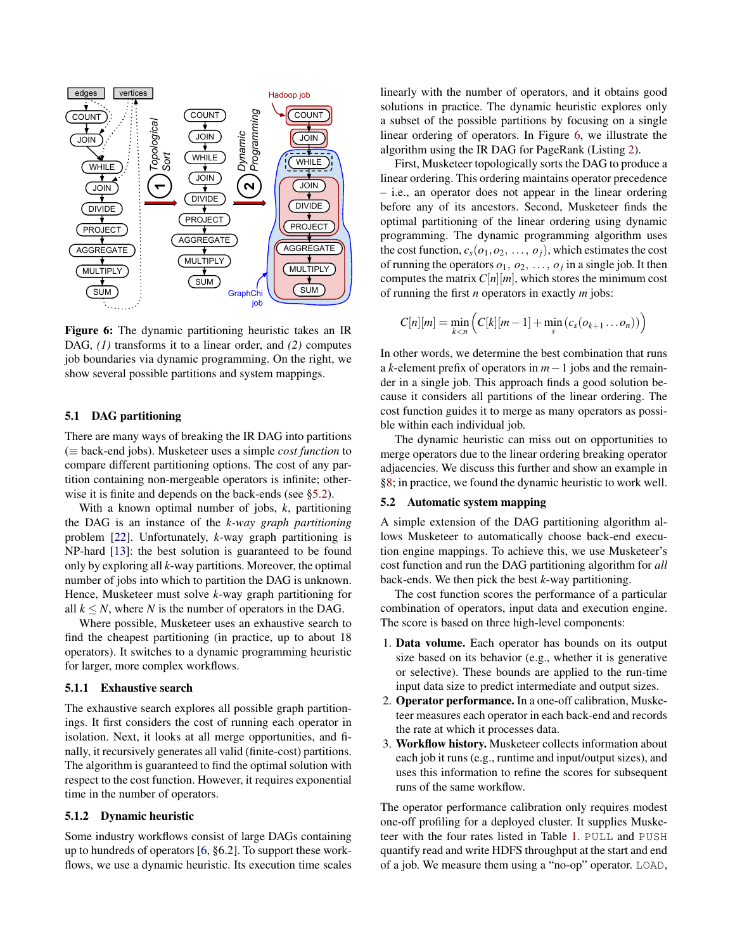<span id="page-7-2"></span>

Figure 6: The dynamic partitioning heuristic takes an IR DAG, *(1)* transforms it to a linear order, and *(2)* computes job boundaries via dynamic programming. On the right, we show several possible partitions and system mappings.

#### <span id="page-7-0"></span>5.1 DAG partitioning

There are many ways of breaking the IR DAG into partitions (≡ back-end jobs). Musketeer uses a simple *cost function* to compare different partitioning options. The cost of any partition containing non-mergeable operators is infinite; otherwise it is finite and depends on the back-ends (see [§5.2\)](#page-7-1).

With a known optimal number of jobs, *k*, partitioning the DAG is an instance of the *k-way graph partitioning* problem [\[22\]](#page-14-17). Unfortunately, *k*-way graph partitioning is NP-hard [\[13\]](#page-14-18): the best solution is guaranteed to be found only by exploring all *k*-way partitions. Moreover, the optimal number of jobs into which to partition the DAG is unknown. Hence, Musketeer must solve *k*-way graph partitioning for all  $k \leq N$ , where *N* is the number of operators in the DAG.

Where possible, Musketeer uses an exhaustive search to find the cheapest partitioning (in practice, up to about 18 operators). It switches to a dynamic programming heuristic for larger, more complex workflows.

#### 5.1.1 Exhaustive search

The exhaustive search explores all possible graph partitionings. It first considers the cost of running each operator in isolation. Next, it looks at all merge opportunities, and finally, it recursively generates all valid (finite-cost) partitions. The algorithm is guaranteed to find the optimal solution with respect to the cost function. However, it requires exponential time in the number of operators.

#### <span id="page-7-3"></span>5.1.2 Dynamic heuristic

Some industry workflows consist of large DAGs containing up to hundreds of operators [\[6,](#page-14-14) §6.2]. To support these workflows, we use a dynamic heuristic. Its execution time scales

linearly with the number of operators, and it obtains good solutions in practice. The dynamic heuristic explores only a subset of the possible partitions by focusing on a single linear ordering of operators. In Figure [6,](#page-7-2) we illustrate the algorithm using the IR DAG for PageRank (Listing [2\)](#page-4-1).

First, Musketeer topologically sorts the DAG to produce a linear ordering. This ordering maintains operator precedence – i.e., an operator does not appear in the linear ordering before any of its ancestors. Second, Musketeer finds the optimal partitioning of the linear ordering using dynamic programming. The dynamic programming algorithm uses the cost function,  $c_s(o_1, o_2, \ldots, o_i)$ , which estimates the cost of running the operators  $o_1$ ,  $o_2$ , ...,  $o_j$  in a single job. It then computes the matrix  $C[n][m]$ , which stores the minimum cost of running the first *n* operators in exactly *m* jobs:

$$
C[n][m] = \min_{k < n} \left( C[k][m-1] + \min_{s} \left( c_s(o_{k+1} \dots o_n) \right) \right)
$$

In other words, we determine the best combination that runs a *k*-element prefix of operators in *m*−1 jobs and the remainder in a single job. This approach finds a good solution because it considers all partitions of the linear ordering. The cost function guides it to merge as many operators as possible within each individual job.

The dynamic heuristic can miss out on opportunities to merge operators due to the linear ordering breaking operator adjacencies. We discuss this further and show an example in [§8;](#page-12-1) in practice, we found the dynamic heuristic to work well.

## <span id="page-7-1"></span>5.2 Automatic system mapping

A simple extension of the DAG partitioning algorithm allows Musketeer to automatically choose back-end execution engine mappings. To achieve this, we use Musketeer's cost function and run the DAG partitioning algorithm for *all* back-ends. We then pick the best *k*-way partitioning.

The cost function scores the performance of a particular combination of operators, input data and execution engine. The score is based on three high-level components:

- 1. Data volume. Each operator has bounds on its output size based on its behavior (e.g., whether it is generative or selective). These bounds are applied to the run-time input data size to predict intermediate and output sizes.
- 2. Operator performance. In a one-off calibration, Musketeer measures each operator in each back-end and records the rate at which it processes data.
- 3. Workflow history. Musketeer collects information about each job it runs (e.g., runtime and input/output sizes), and uses this information to refine the scores for subsequent runs of the same workflow.

The operator performance calibration only requires modest one-off profiling for a deployed cluster. It supplies Musketeer with the four rates listed in Table [1.](#page-8-1) PULL and PUSH quantify read and write HDFS throughput at the start and end of a job. We measure them using a "no-op" operator. LOAD,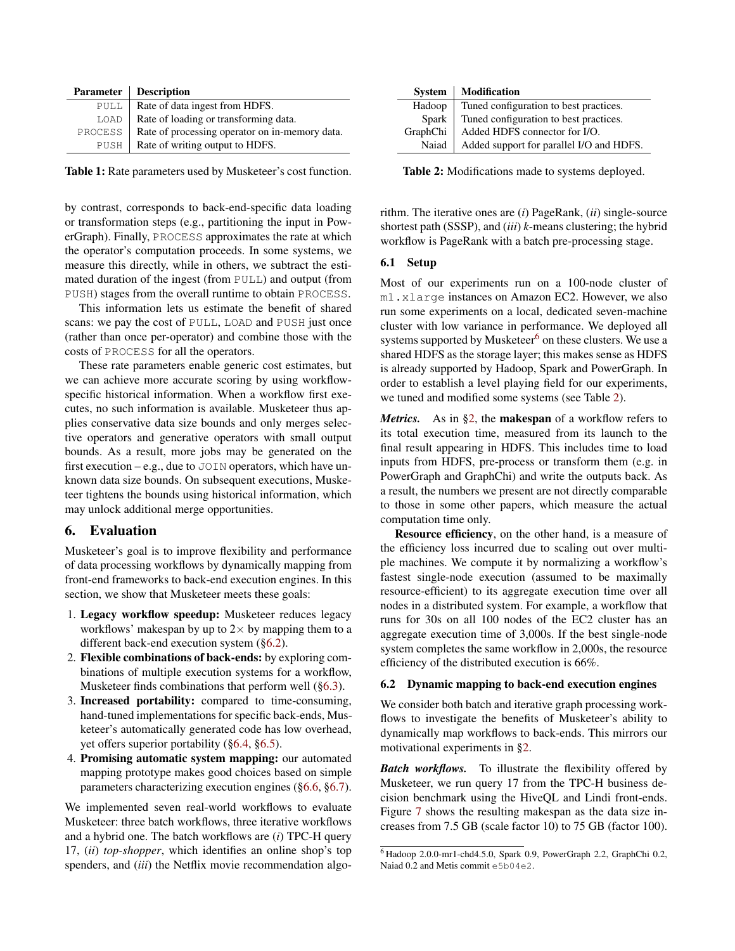<span id="page-8-1"></span>

| <b>Parameter</b> | <b>Description</b>                             |
|------------------|------------------------------------------------|
| PULL             | Rate of data ingest from HDFS.                 |
| LOAD             | Rate of loading or transforming data.          |
| PROCESS          | Rate of processing operator on in-memory data. |
| PUSH             | Rate of writing output to HDFS.                |

Table 1: Rate parameters used by Musketeer's cost function.

by contrast, corresponds to back-end-specific data loading or transformation steps (e.g., partitioning the input in PowerGraph). Finally, PROCESS approximates the rate at which the operator's computation proceeds. In some systems, we measure this directly, while in others, we subtract the estimated duration of the ingest (from PULL) and output (from PUSH) stages from the overall runtime to obtain PROCESS.

This information lets us estimate the benefit of shared scans: we pay the cost of PULL, LOAD and PUSH just once (rather than once per-operator) and combine those with the costs of PROCESS for all the operators.

These rate parameters enable generic cost estimates, but we can achieve more accurate scoring by using workflowspecific historical information. When a workflow first executes, no such information is available. Musketeer thus applies conservative data size bounds and only merges selective operators and generative operators with small output bounds. As a result, more jobs may be generated on the first execution – e.g., due to  $J$ OIN operators, which have unknown data size bounds. On subsequent executions, Musketeer tightens the bounds using historical information, which may unlock additional merge opportunities.

## <span id="page-8-0"></span>6. Evaluation

Musketeer's goal is to improve flexibility and performance of data processing workflows by dynamically mapping from front-end frameworks to back-end execution engines. In this section, we show that Musketeer meets these goals:

- 1. Legacy workflow speedup: Musketeer reduces legacy workflows' makespan by up to  $2 \times$  by mapping them to a different back-end execution system ([§6.2\)](#page-8-2).
- 2. Flexible combinations of back-ends: by exploring combinations of multiple execution systems for a workflow, Musketeer finds combinations that perform well ([§6.3\)](#page-9-0).
- 3. Increased portability: compared to time-consuming, hand-tuned implementations for specific back-ends, Musketeer's automatically generated code has low overhead, yet offers superior portability ([§6.4,](#page-10-0) [§6.5\)](#page-11-0).
- 4. Promising automatic system mapping: our automated mapping prototype makes good choices based on simple parameters characterizing execution engines ([§6.6,](#page-11-1) [§6.7\)](#page-11-2).

We implemented seven real-world workflows to evaluate Musketeer: three batch workflows, three iterative workflows and a hybrid one. The batch workflows are (*i*) TPC-H query 17, (*ii*) *top-shopper*, which identifies an online shop's top spenders, and (*iii*) the Netflix movie recommendation algo-

<span id="page-8-4"></span>

| <b>System</b> | <b>Modification</b>                      |
|---------------|------------------------------------------|
| Hadoop        | Tuned configuration to best practices.   |
| Spark         | Tuned configuration to best practices.   |
| GraphChi      | Added HDFS connector for I/O.            |
| Naiad         | Added support for parallel I/O and HDFS. |

Table 2: Modifications made to systems deployed.

rithm. The iterative ones are (*i*) PageRank, (*ii*) single-source shortest path (SSSP), and (*iii*) *k*-means clustering; the hybrid workflow is PageRank with a batch pre-processing stage.

## 6.1 Setup

Most of our experiments run on a 100-node cluster of m1.xlarge instances on Amazon EC2. However, we also run some experiments on a local, dedicated seven-machine cluster with low variance in performance. We deployed all systems supported by Musketeer $<sup>6</sup>$  $<sup>6</sup>$  $<sup>6</sup>$  on these clusters. We use a</sup> shared HDFS as the storage layer; this makes sense as HDFS is already supported by Hadoop, Spark and PowerGraph. In order to establish a level playing field for our experiments, we tuned and modified some systems (see Table [2\)](#page-8-4).

*Metrics.* As in [§2,](#page-1-0) the **makespan** of a workflow refers to its total execution time, measured from its launch to the final result appearing in HDFS. This includes time to load inputs from HDFS, pre-process or transform them (e.g. in PowerGraph and GraphChi) and write the outputs back. As a result, the numbers we present are not directly comparable to those in some other papers, which measure the actual computation time only.

Resource efficiency, on the other hand, is a measure of the efficiency loss incurred due to scaling out over multiple machines. We compute it by normalizing a workflow's fastest single-node execution (assumed to be maximally resource-efficient) to its aggregate execution time over all nodes in a distributed system. For example, a workflow that runs for 30s on all 100 nodes of the EC2 cluster has an aggregate execution time of 3,000s. If the best single-node system completes the same workflow in 2,000s, the resource efficiency of the distributed execution is 66%.

#### <span id="page-8-2"></span>6.2 Dynamic mapping to back-end execution engines

We consider both batch and iterative graph processing workflows to investigate the benefits of Musketeer's ability to dynamically map workflows to back-ends. This mirrors our motivational experiments in [§2.](#page-1-0)

*Batch workflows.* To illustrate the flexibility offered by Musketeer, we run query 17 from the TPC-H business decision benchmark using the HiveQL and Lindi front-ends. Figure [7](#page-9-1) shows the resulting makespan as the data size increases from 7.5 GB (scale factor 10) to 75 GB (factor 100).

<span id="page-8-3"></span><sup>6</sup> Hadoop 2.0.0-mr1-chd4.5.0, Spark 0.9, PowerGraph 2.2, GraphChi 0.2, Naiad 0.2 and Metis commit e5b04e2.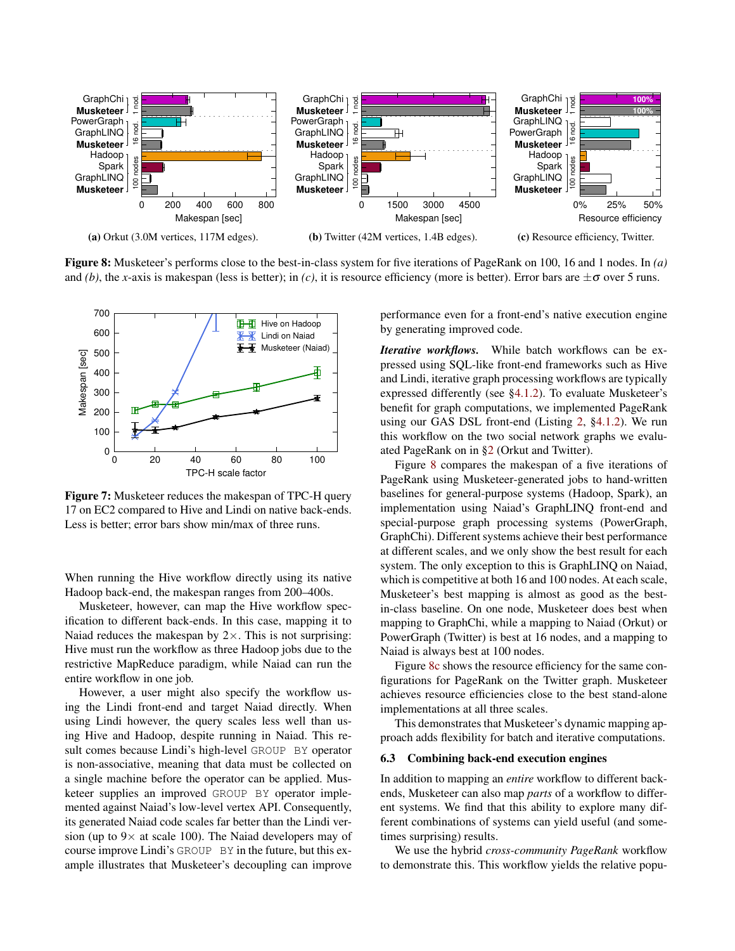<span id="page-9-2"></span>

Figure 8: Musketeer's performs close to the best-in-class system for five iterations of PageRank on 100, 16 and 1 nodes. In *(a)* and *(b)*, the *x*-axis is makespan (less is better); in *(c)*, it is resource efficiency (more is better). Error bars are  $\pm \sigma$  over 5 runs.

<span id="page-9-1"></span>

Figure 7: Musketeer reduces the makespan of TPC-H query 17 on EC2 compared to Hive and Lindi on native back-ends. Less is better; error bars show min/max of three runs.

When running the Hive workflow directly using its native Hadoop back-end, the makespan ranges from 200–400s.

Musketeer, however, can map the Hive workflow specification to different back-ends. In this case, mapping it to Naiad reduces the makespan by  $2 \times$ . This is not surprising: Hive must run the workflow as three Hadoop jobs due to the restrictive MapReduce paradigm, while Naiad can run the entire workflow in one job.

However, a user might also specify the workflow using the Lindi front-end and target Naiad directly. When using Lindi however, the query scales less well than using Hive and Hadoop, despite running in Naiad. This result comes because Lindi's high-level GROUP BY operator is non-associative, meaning that data must be collected on a single machine before the operator can be applied. Musketeer supplies an improved GROUP BY operator implemented against Naiad's low-level vertex API. Consequently, its generated Naiad code scales far better than the Lindi version (up to  $9 \times$  at scale 100). The Naiad developers may of course improve Lindi's GROUP BY in the future, but this example illustrates that Musketeer's decoupling can improve performance even for a front-end's native execution engine by generating improved code.

*Iterative workflows.* While batch workflows can be expressed using SQL-like front-end frameworks such as Hive and Lindi, iterative graph processing workflows are typically expressed differently (see [§4.1.2\)](#page-4-4). To evaluate Musketeer's benefit for graph computations, we implemented PageRank using our GAS DSL front-end (Listing [2,](#page-4-1) [§4.1.2\)](#page-4-4). We run this workflow on the two social network graphs we evaluated PageRank on in [§2](#page-1-0) (Orkut and Twitter).

Figure [8](#page-9-2) compares the makespan of a five iterations of PageRank using Musketeer-generated jobs to hand-written baselines for general-purpose systems (Hadoop, Spark), an implementation using Naiad's GraphLINQ front-end and special-purpose graph processing systems (PowerGraph, GraphChi). Different systems achieve their best performance at different scales, and we only show the best result for each system. The only exception to this is GraphLINQ on Naiad, which is competitive at both 16 and 100 nodes. At each scale, Musketeer's best mapping is almost as good as the bestin-class baseline. On one node, Musketeer does best when mapping to GraphChi, while a mapping to Naiad (Orkut) or PowerGraph (Twitter) is best at 16 nodes, and a mapping to Naiad is always best at 100 nodes.

Figure [8c](#page-9-2) shows the resource efficiency for the same configurations for PageRank on the Twitter graph. Musketeer achieves resource efficiencies close to the best stand-alone implementations at all three scales.

This demonstrates that Musketeer's dynamic mapping approach adds flexibility for batch and iterative computations.

## <span id="page-9-0"></span>6.3 Combining back-end execution engines

In addition to mapping an *entire* workflow to different backends, Musketeer can also map *parts* of a workflow to different systems. We find that this ability to explore many different combinations of systems can yield useful (and sometimes surprising) results.

We use the hybrid *cross-community PageRank* workflow to demonstrate this. This workflow yields the relative popu-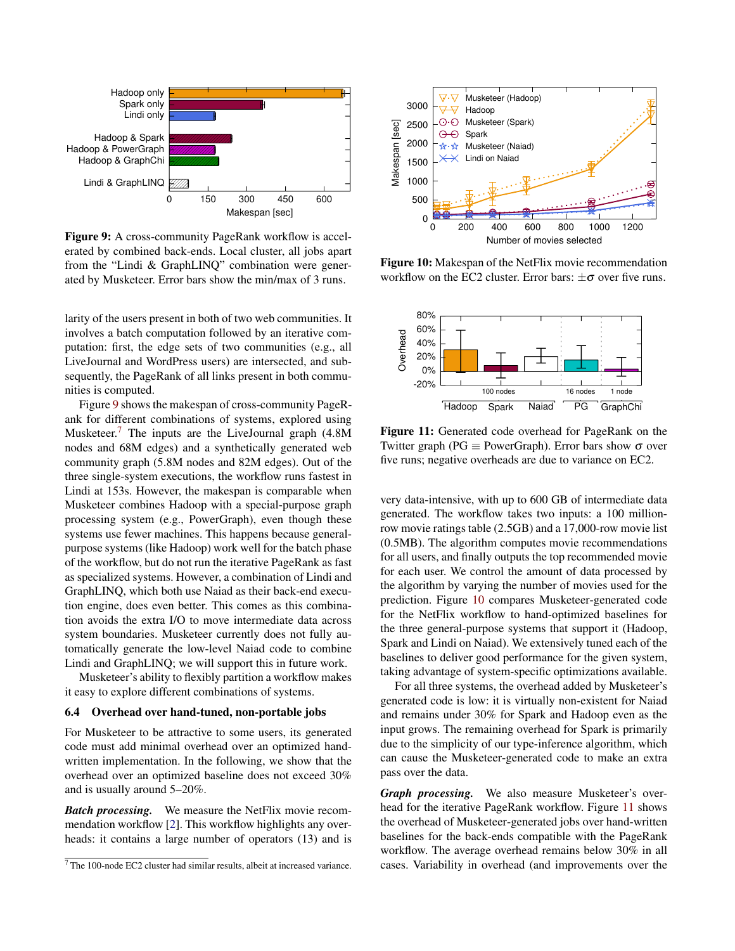<span id="page-10-1"></span>

Figure 9: A cross-community PageRank workflow is accelerated by combined back-ends. Local cluster, all jobs apart from the "Lindi & GraphLINQ" combination were generated by Musketeer. Error bars show the min/max of 3 runs.

larity of the users present in both of two web communities. It involves a batch computation followed by an iterative computation: first, the edge sets of two communities (e.g., all LiveJournal and WordPress users) are intersected, and subsequently, the PageRank of all links present in both communities is computed.

Figure [9](#page-10-1) shows the makespan of cross-community PageRank for different combinations of systems, explored using Musketeer.[7](#page-10-2) The inputs are the LiveJournal graph (4.8M nodes and 68M edges) and a synthetically generated web community graph (5.8M nodes and 82M edges). Out of the three single-system executions, the workflow runs fastest in Lindi at 153s. However, the makespan is comparable when Musketeer combines Hadoop with a special-purpose graph processing system (e.g., PowerGraph), even though these systems use fewer machines. This happens because generalpurpose systems (like Hadoop) work well for the batch phase of the workflow, but do not run the iterative PageRank as fast as specialized systems. However, a combination of Lindi and GraphLINQ, which both use Naiad as their back-end execution engine, does even better. This comes as this combination avoids the extra I/O to move intermediate data across system boundaries. Musketeer currently does not fully automatically generate the low-level Naiad code to combine Lindi and GraphLINQ; we will support this in future work.

Musketeer's ability to flexibly partition a workflow makes it easy to explore different combinations of systems.

#### <span id="page-10-0"></span>6.4 Overhead over hand-tuned, non-portable jobs

For Musketeer to be attractive to some users, its generated code must add minimal overhead over an optimized handwritten implementation. In the following, we show that the overhead over an optimized baseline does not exceed 30% and is usually around 5–20%.

*Batch processing.* We measure the NetFlix movie recommendation workflow [\[2\]](#page-14-19). This workflow highlights any overheads: it contains a large number of operators (13) and is

<span id="page-10-3"></span>

Figure 10: Makespan of the NetFlix movie recommendation workflow on the EC2 cluster. Error bars:  $\pm \sigma$  over five runs.

<span id="page-10-4"></span>

Figure 11: Generated code overhead for PageRank on the Twitter graph (PG  $\equiv$  PowerGraph). Error bars show  $\sigma$  over five runs; negative overheads are due to variance on EC2.

very data-intensive, with up to 600 GB of intermediate data generated. The workflow takes two inputs: a 100 millionrow movie ratings table (2.5GB) and a 17,000-row movie list (0.5MB). The algorithm computes movie recommendations for all users, and finally outputs the top recommended movie for each user. We control the amount of data processed by the algorithm by varying the number of movies used for the prediction. Figure [10](#page-10-3) compares Musketeer-generated code for the NetFlix workflow to hand-optimized baselines for the three general-purpose systems that support it (Hadoop, Spark and Lindi on Naiad). We extensively tuned each of the baselines to deliver good performance for the given system, taking advantage of system-specific optimizations available.

For all three systems, the overhead added by Musketeer's generated code is low: it is virtually non-existent for Naiad and remains under 30% for Spark and Hadoop even as the input grows. The remaining overhead for Spark is primarily due to the simplicity of our type-inference algorithm, which can cause the Musketeer-generated code to make an extra pass over the data.

*Graph processing.* We also measure Musketeer's overhead for the iterative PageRank workflow. Figure [11](#page-10-4) shows the overhead of Musketeer-generated jobs over hand-written baselines for the back-ends compatible with the PageRank workflow. The average overhead remains below 30% in all cases. Variability in overhead (and improvements over the

<span id="page-10-2"></span><sup>7</sup> The 100-node EC2 cluster had similar results, albeit at increased variance.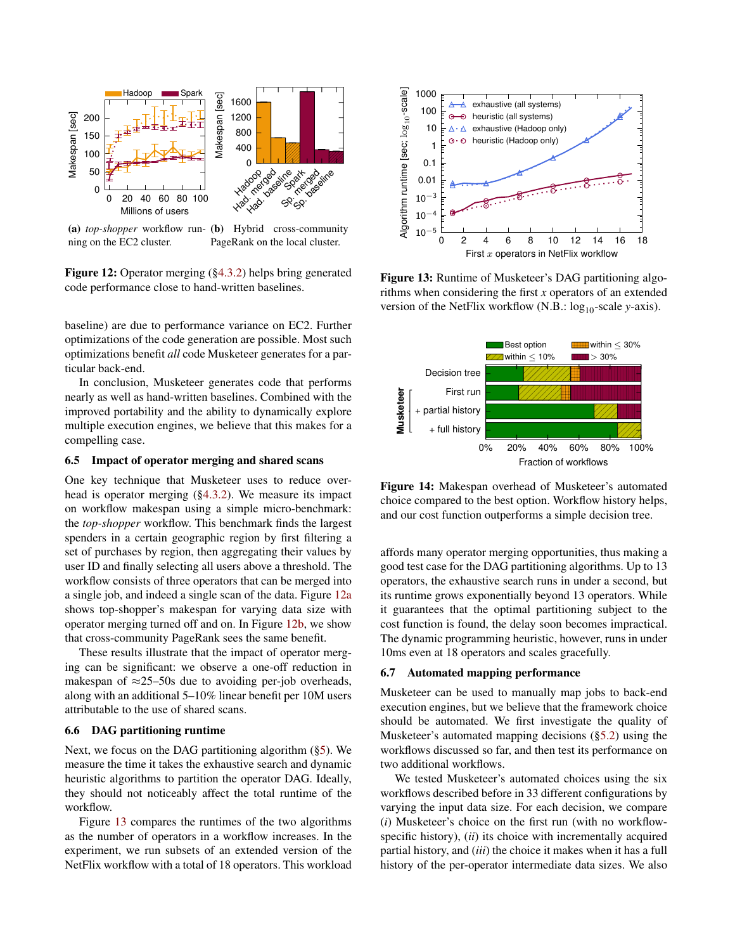<span id="page-11-3"></span>

(a) *top-shopper* workflow run-(b) Hybrid cross-community ning on the EC2 cluster. PageRank on the local cluster.

Figure 12: Operator merging ([§4.3.2\)](#page-5-3) helps bring generated code performance close to hand-written baselines.

baseline) are due to performance variance on EC2. Further optimizations of the code generation are possible. Most such optimizations benefit *all* code Musketeer generates for a particular back-end.

In conclusion, Musketeer generates code that performs nearly as well as hand-written baselines. Combined with the improved portability and the ability to dynamically explore multiple execution engines, we believe that this makes for a compelling case.

#### <span id="page-11-0"></span>6.5 Impact of operator merging and shared scans

One key technique that Musketeer uses to reduce overhead is operator merging ([§4.3.2\)](#page-5-3). We measure its impact on workflow makespan using a simple micro-benchmark: the *top-shopper* workflow. This benchmark finds the largest spenders in a certain geographic region by first filtering a set of purchases by region, then aggregating their values by user ID and finally selecting all users above a threshold. The workflow consists of three operators that can be merged into a single job, and indeed a single scan of the data. Figure [12a](#page-11-3) shows top-shopper's makespan for varying data size with operator merging turned off and on. In Figure [12b,](#page-11-3) we show that cross-community PageRank sees the same benefit.

These results illustrate that the impact of operator merging can be significant: we observe a one-off reduction in makespan of  $\approx$ 25–50s due to avoiding per-job overheads, along with an additional 5–10% linear benefit per 10M users attributable to the use of shared scans.

## <span id="page-11-1"></span>6.6 DAG partitioning runtime

Next, we focus on the DAG partitioning algorithm  $(\S 5)$ . We measure the time it takes the exhaustive search and dynamic heuristic algorithms to partition the operator DAG. Ideally, they should not noticeably affect the total runtime of the workflow.

Figure [13](#page-11-4) compares the runtimes of the two algorithms as the number of operators in a workflow increases. In the experiment, we run subsets of an extended version of the NetFlix workflow with a total of 18 operators. This workload

<span id="page-11-4"></span>

Figure 13: Runtime of Musketeer's DAG partitioning algorithms when considering the first *x* operators of an extended version of the NetFlix workflow (N.B.: log<sub>10</sub>-scale *y*-axis).

<span id="page-11-5"></span>

Figure 14: Makespan overhead of Musketeer's automated choice compared to the best option. Workflow history helps, and our cost function outperforms a simple decision tree.

affords many operator merging opportunities, thus making a good test case for the DAG partitioning algorithms. Up to 13 operators, the exhaustive search runs in under a second, but its runtime grows exponentially beyond 13 operators. While it guarantees that the optimal partitioning subject to the cost function is found, the delay soon becomes impractical. The dynamic programming heuristic, however, runs in under 10ms even at 18 operators and scales gracefully.

#### <span id="page-11-2"></span>6.7 Automated mapping performance

Musketeer can be used to manually map jobs to back-end execution engines, but we believe that the framework choice should be automated. We first investigate the quality of Musketeer's automated mapping decisions ([§5.2\)](#page-7-1) using the workflows discussed so far, and then test its performance on two additional workflows.

We tested Musketeer's automated choices using the six workflows described before in 33 different configurations by varying the input data size. For each decision, we compare (*i*) Musketeer's choice on the first run (with no workflowspecific history), (*ii*) its choice with incrementally acquired partial history, and (*iii*) the choice it makes when it has a full history of the per-operator intermediate data sizes. We also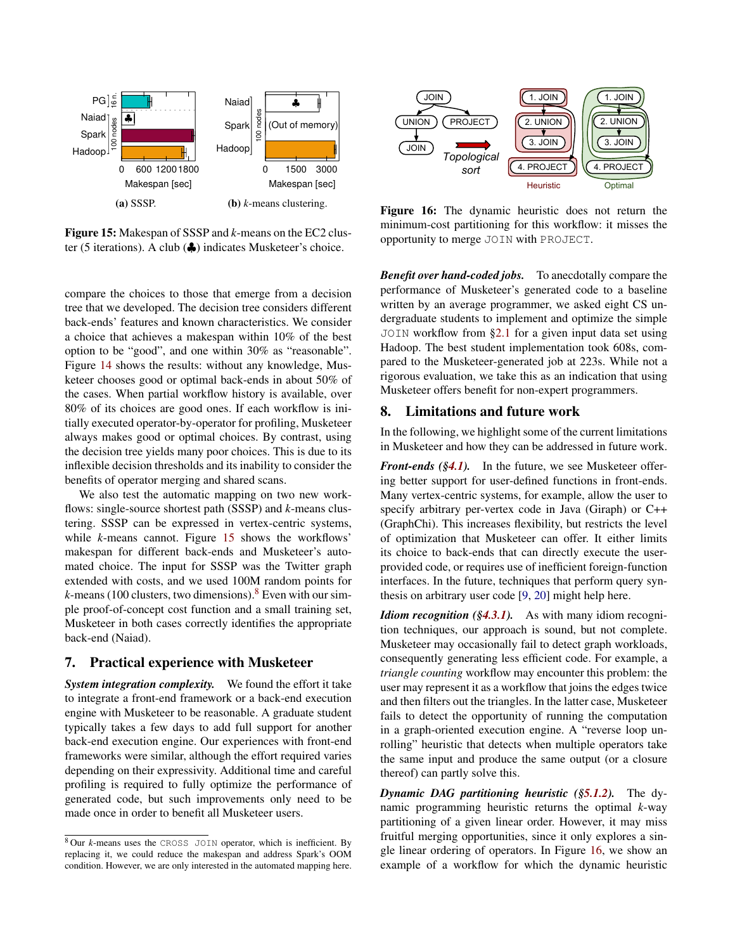<span id="page-12-2"></span>

Figure 15: Makespan of SSSP and *k*-means on the EC2 cluster (5 iterations). A club (♣) indicates Musketeer's choice.

compare the choices to those that emerge from a decision tree that we developed. The decision tree considers different back-ends' features and known characteristics. We consider a choice that achieves a makespan within 10% of the best option to be "good", and one within 30% as "reasonable". Figure [14](#page-11-5) shows the results: without any knowledge, Musketeer chooses good or optimal back-ends in about 50% of the cases. When partial workflow history is available, over 80% of its choices are good ones. If each workflow is initially executed operator-by-operator for profiling, Musketeer always makes good or optimal choices. By contrast, using the decision tree yields many poor choices. This is due to its inflexible decision thresholds and its inability to consider the benefits of operator merging and shared scans.

We also test the automatic mapping on two new workflows: single-source shortest path (SSSP) and *k*-means clustering. SSSP can be expressed in vertex-centric systems, while *k*-means cannot. Figure [15](#page-12-2) shows the workflows' makespan for different back-ends and Musketeer's automated choice. The input for SSSP was the Twitter graph extended with costs, and we used 100M random points for  $k$ -means (100 clusters, two dimensions).<sup>[8](#page-12-3)</sup> Even with our simple proof-of-concept cost function and a small training set, Musketeer in both cases correctly identifies the appropriate back-end (Naiad).

## <span id="page-12-0"></span>7. Practical experience with Musketeer

*System integration complexity.* We found the effort it take to integrate a front-end framework or a back-end execution engine with Musketeer to be reasonable. A graduate student typically takes a few days to add full support for another back-end execution engine. Our experiences with front-end frameworks were similar, although the effort required varies depending on their expressivity. Additional time and careful profiling is required to fully optimize the performance of generated code, but such improvements only need to be made once in order to benefit all Musketeer users.

<span id="page-12-4"></span>

Figure 16: The dynamic heuristic does not return the minimum-cost partitioning for this workflow: it misses the opportunity to merge JOIN with PROJECT.

*Benefit over hand-coded jobs.* To anecdotally compare the performance of Musketeer's generated code to a baseline written by an average programmer, we asked eight CS undergraduate students to implement and optimize the simple JOIN workflow from [§2.1](#page-1-3) for a given input data set using Hadoop. The best student implementation took 608s, compared to the Musketeer-generated job at 223s. While not a rigorous evaluation, we take this as an indication that using Musketeer offers benefit for non-expert programmers.

## <span id="page-12-1"></span>8. Limitations and future work

In the following, we highlight some of the current limitations in Musketeer and how they can be addressed in future work.

*Front-ends ([§4.1\)](#page-3-3).* In the future, we see Musketeer offering better support for user-defined functions in front-ends. Many vertex-centric systems, for example, allow the user to specify arbitrary per-vertex code in Java (Giraph) or C++ (GraphChi). This increases flexibility, but restricts the level of optimization that Musketeer can offer. It either limits its choice to back-ends that can directly execute the userprovided code, or requires use of inefficient foreign-function interfaces. In the future, techniques that perform query synthesis on arbitrary user code [\[9,](#page-14-20) [20\]](#page-14-21) might help here.

*Idiom recognition ([§4.3.1\)](#page-5-1).* As with many idiom recognition techniques, our approach is sound, but not complete. Musketeer may occasionally fail to detect graph workloads, consequently generating less efficient code. For example, a *triangle counting* workflow may encounter this problem: the user may represent it as a workflow that joins the edges twice and then filters out the triangles. In the latter case, Musketeer fails to detect the opportunity of running the computation in a graph-oriented execution engine. A "reverse loop unrolling" heuristic that detects when multiple operators take the same input and produce the same output (or a closure thereof) can partly solve this.

*Dynamic DAG partitioning heuristic ([§5.1.2\)](#page-7-3).* The dynamic programming heuristic returns the optimal *k*-way partitioning of a given linear order. However, it may miss fruitful merging opportunities, since it only explores a single linear ordering of operators. In Figure [16,](#page-12-4) we show an example of a workflow for which the dynamic heuristic

<span id="page-12-3"></span><sup>8</sup> Our *k*-means uses the CROSS JOIN operator, which is inefficient. By replacing it, we could reduce the makespan and address Spark's OOM condition. However, we are only interested in the automated mapping here.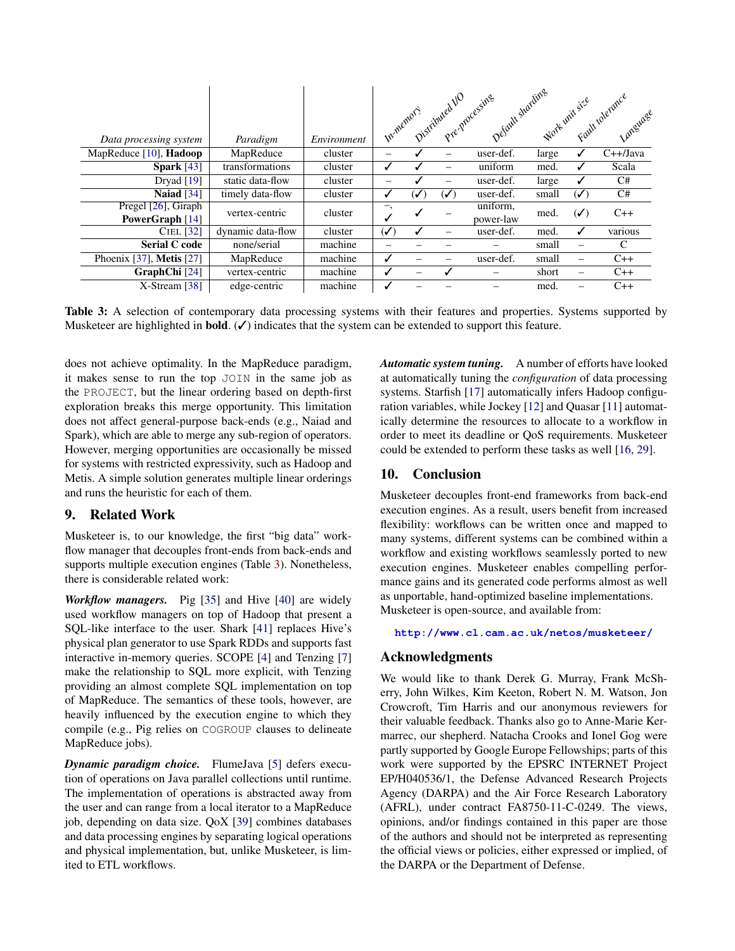<span id="page-13-2"></span>

| Data processing system           | Paradigm          | Environment |                           |                |                | Default sharding<br>W. Wemerich Distributed IIO essing |       |                          | Work wit size to derance<br>Language |
|----------------------------------|-------------------|-------------|---------------------------|----------------|----------------|--------------------------------------------------------|-------|--------------------------|--------------------------------------|
| MapReduce $[10]$ , <b>Hadoop</b> | MapReduce         | cluster     |                           |                |                | user-def.                                              | large |                          | $C++/Java$                           |
| Spark $[43]$                     | transformations   | cluster     |                           |                | —              | uniform                                                | med.  |                          | Scala                                |
| Dryad [19]                       | static data-flow  | cluster     |                           |                | —              | user-def.                                              | large |                          | C#                                   |
| Naiad $[34]$                     | timely data-flow  | cluster     |                           | $(\checkmark)$ | $(\checkmark)$ | user-def.                                              | small | $(\checkmark)$           | C#                                   |
| Pregel [26], Giraph              | vertex-centric    | cluster     | $\overline{\phantom{a}},$ |                |                | uniform,                                               | med.  | $(\checkmark)$           | $C++$                                |
| PowerGraph [14]                  |                   |             |                           |                |                | power-law                                              |       |                          |                                      |
| <b>CIEL</b> [32]                 | dynamic data-flow | cluster     | $(\checkmark)$            |                |                | user-def.                                              | med.  |                          | various                              |
| <b>Serial C code</b>             | none/serial       | machine     |                           |                |                |                                                        | small |                          | C                                    |
| Phoenix [37], <b>Metis</b> [27]  | MapReduce         | machine     |                           |                |                | user-def.                                              | small |                          | $C++$                                |
| GraphChi [24]                    | vertex-centric    | machine     |                           | -              |                |                                                        | short | $\overline{\phantom{0}}$ | $C++$                                |
| $X-Stream [38]$                  | edge-centric      | machine     |                           |                |                |                                                        | med.  |                          | $C++$                                |

Table 3: A selection of contemporary data processing systems with their features and properties. Systems supported by Musketeer are highlighted in **bold**.  $(\checkmark)$  indicates that the system can be extended to support this feature.

does not achieve optimality. In the MapReduce paradigm, it makes sense to run the top JOIN in the same job as the PROJECT, but the linear ordering based on depth-first exploration breaks this merge opportunity. This limitation does not affect general-purpose back-ends (e.g., Naiad and Spark), which are able to merge any sub-region of operators. However, merging opportunities are occasionally be missed for systems with restricted expressivity, such as Hadoop and Metis. A simple solution generates multiple linear orderings and runs the heuristic for each of them.

# <span id="page-13-0"></span>9. Related Work

Musketeer is, to our knowledge, the first "big data" workflow manager that decouples front-ends from back-ends and supports multiple execution engines (Table [3\)](#page-13-2). Nonetheless, there is considerable related work:

*Workflow managers.* Pig [\[35\]](#page-15-1) and Hive [\[40\]](#page-15-0) are widely used workflow managers on top of Hadoop that present a SQL-like interface to the user. Shark [\[41\]](#page-15-4) replaces Hive's physical plan generator to use Spark RDDs and supports fast interactive in-memory queries. SCOPE [\[4\]](#page-14-24) and Tenzing [\[7\]](#page-14-25) make the relationship to SQL more explicit, with Tenzing providing an almost complete SQL implementation on top of MapReduce. The semantics of these tools, however, are heavily influenced by the execution engine to which they compile (e.g., Pig relies on COGROUP clauses to delineate MapReduce jobs).

*Dynamic paradigm choice.* FlumeJava [\[5\]](#page-14-26) defers execution of operations on Java parallel collections until runtime. The implementation of operations is abstracted away from the user and can range from a local iterator to a MapReduce job, depending on data size. QoX [\[39\]](#page-15-10) combines databases and data processing engines by separating logical operations and physical implementation, but, unlike Musketeer, is limited to ETL workflows.

*Automatic system tuning.* A number of efforts have looked at automatically tuning the *configuration* of data processing systems. Starfish [\[17\]](#page-14-27) automatically infers Hadoop configuration variables, while Jockey [\[12\]](#page-14-28) and Quasar [\[11\]](#page-14-29) automatically determine the resources to allocate to a workflow in order to meet its deadline or QoS requirements. Musketeer could be extended to perform these tasks as well [\[16,](#page-14-30) [29\]](#page-14-31).

## <span id="page-13-1"></span>10. Conclusion

Musketeer decouples front-end frameworks from back-end execution engines. As a result, users benefit from increased flexibility: workflows can be written once and mapped to many systems, different systems can be combined within a workflow and existing workflows seamlessly ported to new execution engines. Musketeer enables compelling performance gains and its generated code performs almost as well as unportable, hand-optimized baseline implementations. Musketeer is open-source, and available from:

**<http://www.cl.cam.ac.uk/netos/musketeer/>**

## Acknowledgments

We would like to thank Derek G. Murray, Frank McSherry, John Wilkes, Kim Keeton, Robert N. M. Watson, Jon Crowcroft, Tim Harris and our anonymous reviewers for their valuable feedback. Thanks also go to Anne-Marie Kermarrec, our shepherd. Natacha Crooks and Ionel Gog were partly supported by Google Europe Fellowships; parts of this work were supported by the EPSRC INTERNET Project EP/H040536/1, the Defense Advanced Research Projects Agency (DARPA) and the Air Force Research Laboratory (AFRL), under contract FA8750-11-C-0249. The views, opinions, and/or findings contained in this paper are those of the authors and should not be interpreted as representing the official views or policies, either expressed or implied, of the DARPA or the Department of Defense.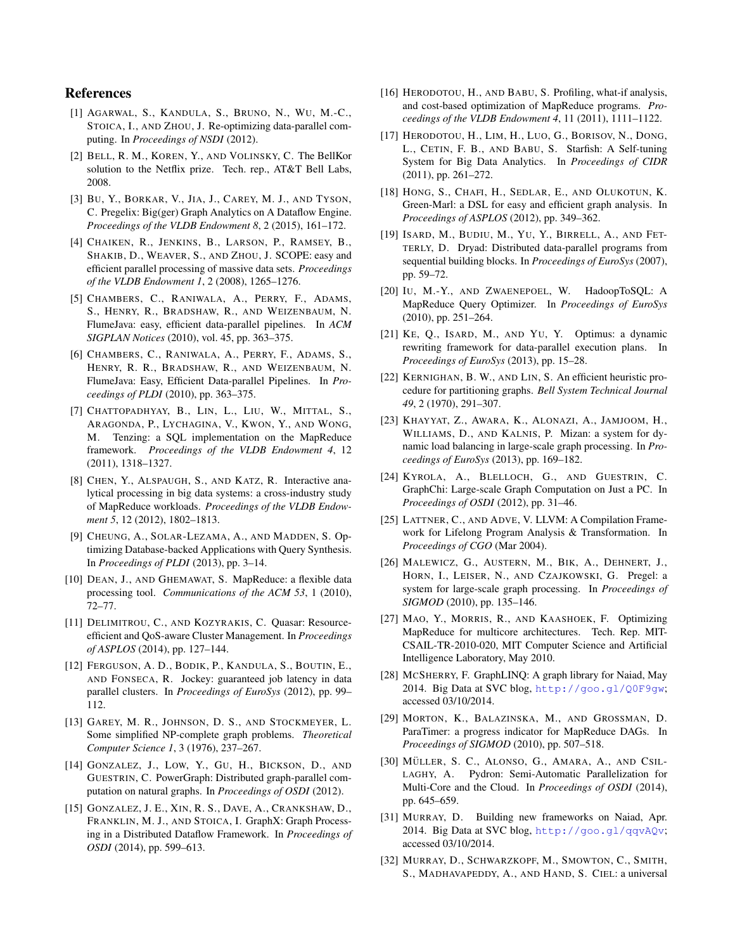## References

- <span id="page-14-15"></span>[1] AGARWAL, S., KANDULA, S., BRUNO, N., WU, M.-C., STOICA, I., AND ZHOU, J. Re-optimizing data-parallel computing. In *Proceedings of NSDI* (2012).
- <span id="page-14-19"></span>[2] BELL, R. M., KOREN, Y., AND VOLINSKY, C. The BellKor solution to the Netflix prize. Tech. rep., AT&T Bell Labs, 2008.
- <span id="page-14-13"></span>[3] BU, Y., BORKAR, V., JIA, J., CAREY, M. J., AND TYSON, C. Pregelix: Big(ger) Graph Analytics on A Dataflow Engine. *Proceedings of the VLDB Endowment 8*, 2 (2015), 161–172.
- <span id="page-14-24"></span>[4] CHAIKEN, R., JENKINS, B., LARSON, P., RAMSEY, B., SHAKIB, D., WEAVER, S., AND ZHOU, J. SCOPE: easy and efficient parallel processing of massive data sets. *Proceedings of the VLDB Endowment 1*, 2 (2008), 1265–1276.
- <span id="page-14-26"></span>[5] CHAMBERS, C., RANIWALA, A., PERRY, F., ADAMS, S., HENRY, R., BRADSHAW, R., AND WEIZENBAUM, N. FlumeJava: easy, efficient data-parallel pipelines. In *ACM SIGPLAN Notices* (2010), vol. 45, pp. 363–375.
- <span id="page-14-14"></span>[6] CHAMBERS, C., RANIWALA, A., PERRY, F., ADAMS, S., HENRY, R. R., BRADSHAW, R., AND WEIZENBAUM, N. FlumeJava: Easy, Efficient Data-parallel Pipelines. In *Proceedings of PLDI* (2010), pp. 363–375.
- <span id="page-14-25"></span>[7] CHATTOPADHYAY, B., LIN, L., LIU, W., MITTAL, S., ARAGONDA, P., LYCHAGINA, V., KWON, Y., AND WONG, M. Tenzing: a SQL implementation on the MapReduce framework. *Proceedings of the VLDB Endowment 4*, 12 (2011), 1318–1327.
- <span id="page-14-2"></span>[8] CHEN, Y., ALSPAUGH, S., AND KATZ, R. Interactive analytical processing in big data systems: a cross-industry study of MapReduce workloads. *Proceedings of the VLDB Endowment 5*, 12 (2012), 1802–1813.
- <span id="page-14-20"></span>[9] CHEUNG, A., SOLAR-LEZAMA, A., AND MADDEN, S. Optimizing Database-backed Applications with Query Synthesis. In *Proceedings of PLDI* (2013), pp. 3–14.
- <span id="page-14-7"></span>[10] DEAN, J., AND GHEMAWAT, S. MapReduce: a flexible data processing tool. *Communications of the ACM 53*, 1 (2010), 72–77.
- <span id="page-14-29"></span>[11] DELIMITROU, C., AND KOZYRAKIS, C. Quasar: Resourceefficient and QoS-aware Cluster Management. In *Proceedings of ASPLOS* (2014), pp. 127–144.
- <span id="page-14-28"></span>[12] FERGUSON, A. D., BODIK, P., KANDULA, S., BOUTIN, E., AND FONSECA, R. Jockey: guaranteed job latency in data parallel clusters. In *Proceedings of EuroSys* (2012), pp. 99– 112.
- <span id="page-14-18"></span>[13] GAREY, M. R., JOHNSON, D. S., AND STOCKMEYER, L. Some simplified NP-complete graph problems. *Theoretical Computer Science 1*, 3 (1976), 237–267.
- <span id="page-14-11"></span>[14] GONZALEZ, J., LOW, Y., GU, H., BICKSON, D., AND GUESTRIN, C. PowerGraph: Distributed graph-parallel computation on natural graphs. In *Proceedings of OSDI* (2012).
- <span id="page-14-0"></span>[15] GONZALEZ, J. E., XIN, R. S., DAVE, A., CRANKSHAW, D., FRANKLIN, M. J., AND STOICA, I. GraphX: Graph Processing in a Distributed Dataflow Framework. In *Proceedings of OSDI* (2014), pp. 599–613.
- <span id="page-14-30"></span>[16] HERODOTOU, H., AND BABU, S. Profiling, what-if analysis, and cost-based optimization of MapReduce programs. *Proceedings of the VLDB Endowment 4*, 11 (2011), 1111–1122.
- <span id="page-14-27"></span>[17] HERODOTOU, H., LIM, H., LUO, G., BORISOV, N., DONG, L., CETIN, F. B., AND BABU, S. Starfish: A Self-tuning System for Big Data Analytics. In *Proceedings of CIDR* (2011), pp. 261–272.
- <span id="page-14-9"></span>[18] HONG, S., CHAFI, H., SEDLAR, E., AND OLUKOTUN, K. Green-Marl: a DSL for easy and efficient graph analysis. In *Proceedings of ASPLOS* (2012), pp. 349–362.
- <span id="page-14-3"></span>[19] ISARD, M., BUDIU, M., YU, Y., BIRRELL, A., AND FET-TERLY, D. Dryad: Distributed data-parallel programs from sequential building blocks. In *Proceedings of EuroSys* (2007), pp. 59–72.
- <span id="page-14-21"></span>[20] IU, M.-Y., AND ZWAENEPOEL, W. HadoopToSQL: A MapReduce Query Optimizer. In *Proceedings of EuroSys* (2010), pp. 251–264.
- <span id="page-14-6"></span>[21] KE, Q., ISARD, M., AND YU, Y. Optimus: a dynamic rewriting framework for data-parallel execution plans. In *Proceedings of EuroSys* (2013), pp. 15–28.
- <span id="page-14-17"></span>[22] KERNIGHAN, B. W., AND LIN, S. An efficient heuristic procedure for partitioning graphs. *Bell System Technical Journal 49*, 2 (1970), 291–307.
- <span id="page-14-12"></span>[23] KHAYYAT, Z., AWARA, K., ALONAZI, A., JAMJOOM, H., WILLIAMS, D., AND KALNIS, P. Mizan: a system for dynamic load balancing in large-scale graph processing. In *Proceedings of EuroSys* (2013), pp. 169–182.
- <span id="page-14-23"></span>[24] KYROLA, A., BLELLOCH, G., AND GUESTRIN, C. GraphChi: Large-scale Graph Computation on Just a PC. In *Proceedings of OSDI* (2012), pp. 31–46.
- <span id="page-14-16"></span>[25] LATTNER, C., AND ADVE, V. LLVM: A Compilation Framework for Lifelong Program Analysis & Transformation. In *Proceedings of CGO* (Mar 2004).
- <span id="page-14-8"></span>[26] MALEWICZ, G., AUSTERN, M., BIK, A., DEHNERT, J., HORN, I., LEISER, N., AND CZAJKOWSKI, G. Pregel: a system for large-scale graph processing. In *Proceedings of SIGMOD* (2010), pp. 135–146.
- <span id="page-14-22"></span>[27] MAO, Y., MORRIS, R., AND KAASHOEK, F. Optimizing MapReduce for multicore architectures. Tech. Rep. MIT-CSAIL-TR-2010-020, MIT Computer Science and Artificial Intelligence Laboratory, May 2010.
- <span id="page-14-10"></span>[28] MCSHERRY, F. GraphLINQ: A graph library for Naiad, May 2014. Big Data at SVC blog, <http://goo.gl/Q0F9gw>; accessed 03/10/2014.
- <span id="page-14-31"></span>[29] MORTON, K., BALAZINSKA, M., AND GROSSMAN, D. ParaTimer: a progress indicator for MapReduce DAGs. In *Proceedings of SIGMOD* (2010), pp. 507–518.
- <span id="page-14-5"></span>[30] MÜLLER, S. C., ALONSO, G., AMARA, A., AND CSIL-LAGHY, A. Pydron: Semi-Automatic Parallelization for Multi-Core and the Cloud. In *Proceedings of OSDI* (2014), pp. 645–659.
- <span id="page-14-1"></span>[31] MURRAY, D. Building new frameworks on Naiad, Apr. 2014. Big Data at SVC blog, <http://goo.gl/qqvAQv>; accessed 03/10/2014.
- <span id="page-14-4"></span>[32] MURRAY, D., SCHWARZKOPF, M., SMOWTON, C., SMITH, S., MADHAVAPEDDY, A., AND HAND, S. CIEL: a universal